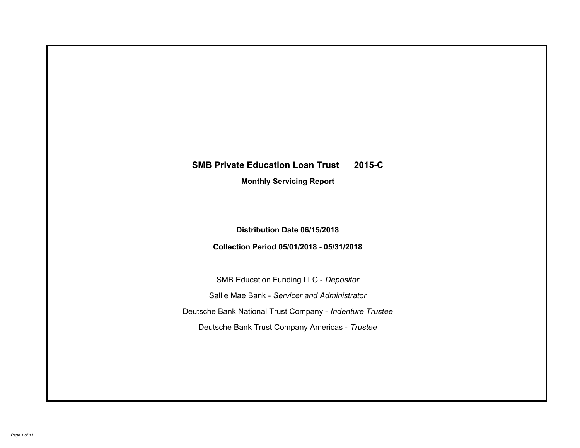# **SMB Private Education Loan Trust 2015-C Monthly Servicing Report**

### **Distribution Date 06/15/2018**

### **Collection Period 05/01/2018 - 05/31/2018**

SMB Education Funding LLC - *Depositor* Sallie Mae Bank - *Servicer and Administrator* Deutsche Bank National Trust Company - *Indenture Trustee* Deutsche Bank Trust Company Americas - *Trustee*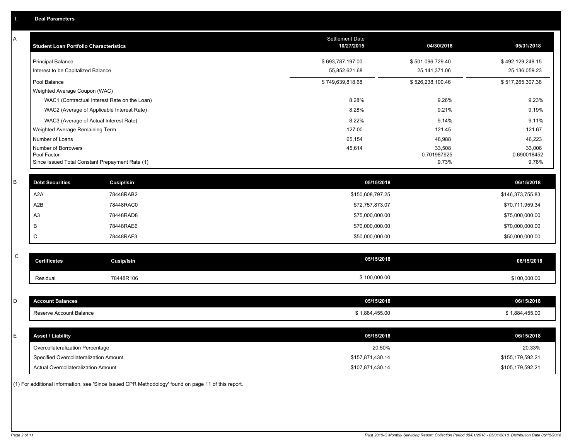| A           | <b>Student Loan Portfolio Characteristics</b>   |                                              | <b>Settlement Date</b><br>10/27/2015 | 04/30/2018            | 05/31/2018            |
|-------------|-------------------------------------------------|----------------------------------------------|--------------------------------------|-----------------------|-----------------------|
|             | <b>Principal Balance</b>                        |                                              | \$693,787,197.00                     | \$501,096,729.40      | \$492,129,248.15      |
|             | Interest to be Capitalized Balance              |                                              | 55,852,621.68                        | 25, 141, 371.06       | 25,136,059.23         |
|             | Pool Balance                                    |                                              | \$749,639,818.68                     | \$526,238,100.46      | \$517,265,307.38      |
|             | Weighted Average Coupon (WAC)                   |                                              |                                      |                       |                       |
|             |                                                 | WAC1 (Contractual Interest Rate on the Loan) | 8.28%                                | 9.26%                 | 9.23%                 |
|             |                                                 | WAC2 (Average of Applicable Interest Rate)   | 8.28%                                | 9.21%                 | 9.19%                 |
|             | WAC3 (Average of Actual Interest Rate)          |                                              | 8.22%                                | 9.14%                 | 9.11%                 |
|             | Weighted Average Remaining Term                 |                                              | 127.00                               | 121.45                | 121.67                |
|             | Number of Loans                                 |                                              | 65,154                               | 46,988                | 46,223                |
|             | Number of Borrowers<br>Pool Factor              |                                              | 45,614                               | 33,508<br>0.701987925 | 33,006<br>0.690018452 |
|             | Since Issued Total Constant Prepayment Rate (1) |                                              |                                      | 9.73%                 | 9.78%                 |
|             |                                                 |                                              |                                      |                       |                       |
| B           | <b>Debt Securities</b>                          | <b>Cusip/Isin</b>                            | 05/15/2018                           |                       | 06/15/2018            |
|             | A <sub>2</sub> A                                | 78448RAB2                                    | \$150,608,797.25                     |                       | \$146,373,755.83      |
|             | A2B                                             | 78448RAC0                                    | \$72,757,873.07                      |                       | \$70,711,959.34       |
|             | A3                                              | 78448RAD8                                    | \$75,000,000.00                      |                       | \$75,000,000.00       |
|             | В                                               | 78448RAE6                                    | \$70,000,000.00                      |                       | \$70,000,000.00       |
|             | C                                               | 78448RAF3                                    | \$50,000,000.00                      |                       | \$50,000,000.00       |
|             |                                                 |                                              |                                      |                       |                       |
| $\mathsf C$ | <b>Certificates</b>                             | <b>Cusip/Isin</b>                            | 05/15/2018                           |                       | 06/15/2018            |
|             | Residual                                        | 78448R106                                    | \$100,000.00                         |                       | \$100,000.00          |
|             |                                                 |                                              |                                      |                       |                       |
| D           | <b>Account Balances</b>                         |                                              | 05/15/2018                           |                       | 06/15/2018            |
|             | Reserve Account Balance                         |                                              | \$1,884,455.00                       |                       | \$1,884,455.00        |
|             |                                                 |                                              |                                      |                       |                       |
| Ε           | <b>Asset / Liability</b>                        |                                              | 05/15/2018                           |                       | 06/15/2018            |
|             | Overcollateralization Percentage                |                                              | 20.50%                               |                       | 20.33%                |
|             | Specified Overcollateralization Amount          |                                              | \$157,871,430.14                     |                       | \$155,179,592.21      |
|             | Actual Overcollateralization Amount             |                                              | \$107,871,430.14                     |                       | \$105,179,592.21      |
|             |                                                 |                                              |                                      |                       |                       |

(1) For additional information, see 'Since Issued CPR Methodology' found on page 11 of this report.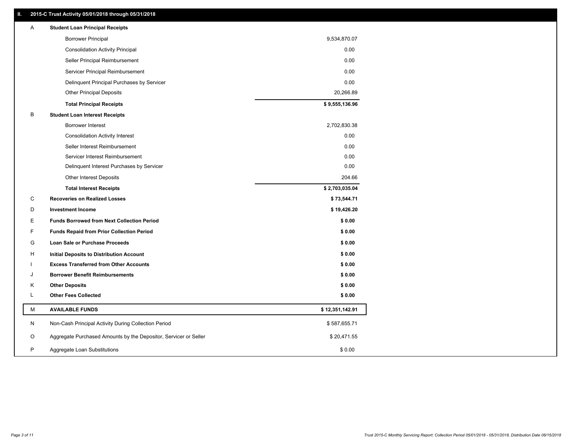### **II. 2015-C Trust Activity 05/01/2018 through 05/31/2018**

| <b>Borrower Principal</b><br>9,534,870.07<br><b>Consolidation Activity Principal</b><br>0.00<br>0.00<br>Seller Principal Reimbursement<br>Servicer Principal Reimbursement<br>0.00<br>0.00<br>Delinquent Principal Purchases by Servicer<br>20,266.89<br><b>Other Principal Deposits</b><br>\$9,555,136.96<br><b>Total Principal Receipts</b><br>В<br><b>Student Loan Interest Receipts</b><br>2,702,830.38<br><b>Borrower Interest</b><br>0.00<br><b>Consolidation Activity Interest</b><br>Seller Interest Reimbursement<br>0.00<br>0.00<br>Servicer Interest Reimbursement<br>0.00<br>Delinquent Interest Purchases by Servicer<br>Other Interest Deposits<br>204.66<br>\$2,703,035.04<br><b>Total Interest Receipts</b><br>С<br><b>Recoveries on Realized Losses</b><br>\$73,544.71<br>\$19,426.20<br>D<br><b>Investment Income</b><br>Е<br><b>Funds Borrowed from Next Collection Period</b><br>\$0.00<br>F<br>\$0.00<br><b>Funds Repaid from Prior Collection Period</b><br>G<br>\$0.00<br>Loan Sale or Purchase Proceeds<br>\$0.00<br>н<br>Initial Deposits to Distribution Account<br><b>Excess Transferred from Other Accounts</b><br>\$0.00<br><b>Borrower Benefit Reimbursements</b><br>\$0.00<br>J<br>K<br><b>Other Deposits</b><br>\$0.00<br>L<br><b>Other Fees Collected</b><br>\$0.00<br>М<br><b>AVAILABLE FUNDS</b><br>\$12,351,142.91<br>N<br>Non-Cash Principal Activity During Collection Period<br>\$587,655.71<br>O<br>Aggregate Purchased Amounts by the Depositor, Servicer or Seller<br>\$20,471.55<br>P<br>\$0.00<br>Aggregate Loan Substitutions | Α | <b>Student Loan Principal Receipts</b> |  |
|----------------------------------------------------------------------------------------------------------------------------------------------------------------------------------------------------------------------------------------------------------------------------------------------------------------------------------------------------------------------------------------------------------------------------------------------------------------------------------------------------------------------------------------------------------------------------------------------------------------------------------------------------------------------------------------------------------------------------------------------------------------------------------------------------------------------------------------------------------------------------------------------------------------------------------------------------------------------------------------------------------------------------------------------------------------------------------------------------------------------------------------------------------------------------------------------------------------------------------------------------------------------------------------------------------------------------------------------------------------------------------------------------------------------------------------------------------------------------------------------------------------------------------------------------------------------------|---|----------------------------------------|--|
|                                                                                                                                                                                                                                                                                                                                                                                                                                                                                                                                                                                                                                                                                                                                                                                                                                                                                                                                                                                                                                                                                                                                                                                                                                                                                                                                                                                                                                                                                                                                                                            |   |                                        |  |
|                                                                                                                                                                                                                                                                                                                                                                                                                                                                                                                                                                                                                                                                                                                                                                                                                                                                                                                                                                                                                                                                                                                                                                                                                                                                                                                                                                                                                                                                                                                                                                            |   |                                        |  |
|                                                                                                                                                                                                                                                                                                                                                                                                                                                                                                                                                                                                                                                                                                                                                                                                                                                                                                                                                                                                                                                                                                                                                                                                                                                                                                                                                                                                                                                                                                                                                                            |   |                                        |  |
|                                                                                                                                                                                                                                                                                                                                                                                                                                                                                                                                                                                                                                                                                                                                                                                                                                                                                                                                                                                                                                                                                                                                                                                                                                                                                                                                                                                                                                                                                                                                                                            |   |                                        |  |
|                                                                                                                                                                                                                                                                                                                                                                                                                                                                                                                                                                                                                                                                                                                                                                                                                                                                                                                                                                                                                                                                                                                                                                                                                                                                                                                                                                                                                                                                                                                                                                            |   |                                        |  |
|                                                                                                                                                                                                                                                                                                                                                                                                                                                                                                                                                                                                                                                                                                                                                                                                                                                                                                                                                                                                                                                                                                                                                                                                                                                                                                                                                                                                                                                                                                                                                                            |   |                                        |  |
|                                                                                                                                                                                                                                                                                                                                                                                                                                                                                                                                                                                                                                                                                                                                                                                                                                                                                                                                                                                                                                                                                                                                                                                                                                                                                                                                                                                                                                                                                                                                                                            |   |                                        |  |
|                                                                                                                                                                                                                                                                                                                                                                                                                                                                                                                                                                                                                                                                                                                                                                                                                                                                                                                                                                                                                                                                                                                                                                                                                                                                                                                                                                                                                                                                                                                                                                            |   |                                        |  |
|                                                                                                                                                                                                                                                                                                                                                                                                                                                                                                                                                                                                                                                                                                                                                                                                                                                                                                                                                                                                                                                                                                                                                                                                                                                                                                                                                                                                                                                                                                                                                                            |   |                                        |  |
|                                                                                                                                                                                                                                                                                                                                                                                                                                                                                                                                                                                                                                                                                                                                                                                                                                                                                                                                                                                                                                                                                                                                                                                                                                                                                                                                                                                                                                                                                                                                                                            |   |                                        |  |
|                                                                                                                                                                                                                                                                                                                                                                                                                                                                                                                                                                                                                                                                                                                                                                                                                                                                                                                                                                                                                                                                                                                                                                                                                                                                                                                                                                                                                                                                                                                                                                            |   |                                        |  |
|                                                                                                                                                                                                                                                                                                                                                                                                                                                                                                                                                                                                                                                                                                                                                                                                                                                                                                                                                                                                                                                                                                                                                                                                                                                                                                                                                                                                                                                                                                                                                                            |   |                                        |  |
|                                                                                                                                                                                                                                                                                                                                                                                                                                                                                                                                                                                                                                                                                                                                                                                                                                                                                                                                                                                                                                                                                                                                                                                                                                                                                                                                                                                                                                                                                                                                                                            |   |                                        |  |
|                                                                                                                                                                                                                                                                                                                                                                                                                                                                                                                                                                                                                                                                                                                                                                                                                                                                                                                                                                                                                                                                                                                                                                                                                                                                                                                                                                                                                                                                                                                                                                            |   |                                        |  |
|                                                                                                                                                                                                                                                                                                                                                                                                                                                                                                                                                                                                                                                                                                                                                                                                                                                                                                                                                                                                                                                                                                                                                                                                                                                                                                                                                                                                                                                                                                                                                                            |   |                                        |  |
|                                                                                                                                                                                                                                                                                                                                                                                                                                                                                                                                                                                                                                                                                                                                                                                                                                                                                                                                                                                                                                                                                                                                                                                                                                                                                                                                                                                                                                                                                                                                                                            |   |                                        |  |
|                                                                                                                                                                                                                                                                                                                                                                                                                                                                                                                                                                                                                                                                                                                                                                                                                                                                                                                                                                                                                                                                                                                                                                                                                                                                                                                                                                                                                                                                                                                                                                            |   |                                        |  |
|                                                                                                                                                                                                                                                                                                                                                                                                                                                                                                                                                                                                                                                                                                                                                                                                                                                                                                                                                                                                                                                                                                                                                                                                                                                                                                                                                                                                                                                                                                                                                                            |   |                                        |  |
|                                                                                                                                                                                                                                                                                                                                                                                                                                                                                                                                                                                                                                                                                                                                                                                                                                                                                                                                                                                                                                                                                                                                                                                                                                                                                                                                                                                                                                                                                                                                                                            |   |                                        |  |
|                                                                                                                                                                                                                                                                                                                                                                                                                                                                                                                                                                                                                                                                                                                                                                                                                                                                                                                                                                                                                                                                                                                                                                                                                                                                                                                                                                                                                                                                                                                                                                            |   |                                        |  |
|                                                                                                                                                                                                                                                                                                                                                                                                                                                                                                                                                                                                                                                                                                                                                                                                                                                                                                                                                                                                                                                                                                                                                                                                                                                                                                                                                                                                                                                                                                                                                                            |   |                                        |  |
|                                                                                                                                                                                                                                                                                                                                                                                                                                                                                                                                                                                                                                                                                                                                                                                                                                                                                                                                                                                                                                                                                                                                                                                                                                                                                                                                                                                                                                                                                                                                                                            |   |                                        |  |
|                                                                                                                                                                                                                                                                                                                                                                                                                                                                                                                                                                                                                                                                                                                                                                                                                                                                                                                                                                                                                                                                                                                                                                                                                                                                                                                                                                                                                                                                                                                                                                            |   |                                        |  |
|                                                                                                                                                                                                                                                                                                                                                                                                                                                                                                                                                                                                                                                                                                                                                                                                                                                                                                                                                                                                                                                                                                                                                                                                                                                                                                                                                                                                                                                                                                                                                                            |   |                                        |  |
|                                                                                                                                                                                                                                                                                                                                                                                                                                                                                                                                                                                                                                                                                                                                                                                                                                                                                                                                                                                                                                                                                                                                                                                                                                                                                                                                                                                                                                                                                                                                                                            |   |                                        |  |
|                                                                                                                                                                                                                                                                                                                                                                                                                                                                                                                                                                                                                                                                                                                                                                                                                                                                                                                                                                                                                                                                                                                                                                                                                                                                                                                                                                                                                                                                                                                                                                            |   |                                        |  |
|                                                                                                                                                                                                                                                                                                                                                                                                                                                                                                                                                                                                                                                                                                                                                                                                                                                                                                                                                                                                                                                                                                                                                                                                                                                                                                                                                                                                                                                                                                                                                                            |   |                                        |  |
|                                                                                                                                                                                                                                                                                                                                                                                                                                                                                                                                                                                                                                                                                                                                                                                                                                                                                                                                                                                                                                                                                                                                                                                                                                                                                                                                                                                                                                                                                                                                                                            |   |                                        |  |
|                                                                                                                                                                                                                                                                                                                                                                                                                                                                                                                                                                                                                                                                                                                                                                                                                                                                                                                                                                                                                                                                                                                                                                                                                                                                                                                                                                                                                                                                                                                                                                            |   |                                        |  |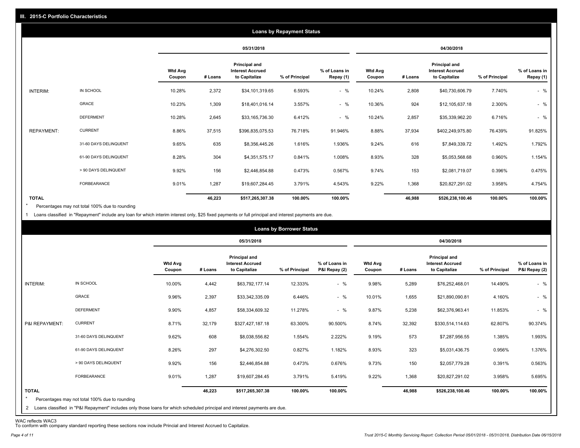|                   |                       |                   |         |                                                                  | <b>Loans by Repayment Status</b> |                            |                          |         |                                                           |                |                            |
|-------------------|-----------------------|-------------------|---------|------------------------------------------------------------------|----------------------------------|----------------------------|--------------------------|---------|-----------------------------------------------------------|----------------|----------------------------|
|                   |                       |                   |         | 05/31/2018                                                       |                                  |                            |                          |         | 04/30/2018                                                |                |                            |
|                   |                       | Wtd Avg<br>Coupon | # Loans | <b>Principal and</b><br><b>Interest Accrued</b><br>to Capitalize | % of Principal                   | % of Loans in<br>Repay (1) | <b>Wtd Avg</b><br>Coupon | # Loans | Principal and<br><b>Interest Accrued</b><br>to Capitalize | % of Principal | % of Loans in<br>Repay (1) |
| INTERIM:          | IN SCHOOL             | 10.28%            | 2,372   | \$34,101,319.65                                                  | 6.593%                           | $-$ %                      | 10.24%                   | 2,808   | \$40,730,606.79                                           | 7.740%         | $-$ %                      |
|                   | GRACE                 | 10.23%            | 1,309   | \$18,401,016.14                                                  | 3.557%                           | $-$ %                      | 10.36%                   | 924     | \$12,105,637.18                                           | 2.300%         | $-$ %                      |
|                   | <b>DEFERMENT</b>      | 10.28%            | 2,645   | \$33,165,736.30                                                  | 6.412%                           | $-$ %                      | 10.24%                   | 2,857   | \$35,339,962.20                                           | 6.716%         | $-$ %                      |
| <b>REPAYMENT:</b> | <b>CURRENT</b>        | 8.86%             | 37,515  | \$396,835,075.53                                                 | 76.718%                          | 91.946%                    | 8.88%                    | 37,934  | \$402,249,975.80                                          | 76.439%        | 91.825%                    |
|                   | 31-60 DAYS DELINQUENT | 9.65%             | 635     | \$8,356,445.26                                                   | 1.616%                           | 1.936%                     | 9.24%                    | 616     | \$7,849,339.72                                            | 1.492%         | 1.792%                     |
|                   | 61-90 DAYS DELINQUENT | 8.28%             | 304     | \$4,351,575.17                                                   | 0.841%                           | 1.008%                     | 8.93%                    | 328     | \$5,053,568.68                                            | 0.960%         | 1.154%                     |
|                   | > 90 DAYS DELINQUENT  | 9.92%             | 156     | \$2,446,854.88                                                   | 0.473%                           | 0.567%                     | 9.74%                    | 153     | \$2,081,719.07                                            | 0.396%         | 0.475%                     |
|                   | FORBEARANCE           | 9.01%             | 1,287   | \$19,607,284.45                                                  | 3.791%                           | 4.543%                     | 9.22%                    | 1,368   | \$20,827,291.02                                           | 3.958%         | 4.754%                     |
| <b>TOTAL</b>      |                       |                   | 46,223  | \$517,265,307.38                                                 | 100.00%                          | 100.00%                    |                          | 46,988  | \$526,238,100.46                                          | 100.00%        | 100.00%                    |

Percentages may not total 100% due to rounding \*

1 Loans classified in "Repayment" include any loan for which interim interest only, \$25 fixed payments or full principal and interest payments are due.

| 05/31/2018<br>04/30/2018<br>Principal and<br><b>Principal and</b><br><b>Wtd Avg</b><br>% of Loans in<br><b>Wtd Avg</b><br><b>Interest Accrued</b><br><b>Interest Accrued</b><br>P&I Repay (2)<br>to Capitalize<br>% of Principal<br># Loans<br>to Capitalize<br>% of Principal<br>Coupon<br># Loans<br>Coupon<br>IN SCHOOL<br>$-$ %<br>INTERIM:<br>10.00%<br>4,442<br>12.333%<br>9.98%<br>5,289<br>14.490%<br>\$63,792,177.14<br>\$76,252,468.01<br><b>GRACE</b><br>$-$ %<br>9.96%<br>2,397<br>6.446%<br>10.01%<br>1,655<br>4.160%<br>\$33,342,335.09<br>\$21,890,090.81<br><b>DEFERMENT</b><br>$-$ %<br>9.90%<br>4,857<br>11.278%<br>9.87%<br>5,238<br>\$62,376,963.41<br>11.853%<br>\$58,334,609.32<br><b>CURRENT</b><br>8.71%<br>32,179<br>32,392<br>P&I REPAYMENT:<br>\$327,427,187.18<br>63.300%<br>90.500%<br>8.74%<br>\$330,514,114.63<br>62.807%<br>31-60 DAYS DELINQUENT |  |       |     |                | <b>Loans by Borrower Status</b> |        |       |     |                |        |                                |
|-----------------------------------------------------------------------------------------------------------------------------------------------------------------------------------------------------------------------------------------------------------------------------------------------------------------------------------------------------------------------------------------------------------------------------------------------------------------------------------------------------------------------------------------------------------------------------------------------------------------------------------------------------------------------------------------------------------------------------------------------------------------------------------------------------------------------------------------------------------------------------------|--|-------|-----|----------------|---------------------------------|--------|-------|-----|----------------|--------|--------------------------------|
|                                                                                                                                                                                                                                                                                                                                                                                                                                                                                                                                                                                                                                                                                                                                                                                                                                                                                   |  |       |     |                |                                 |        |       |     |                |        |                                |
|                                                                                                                                                                                                                                                                                                                                                                                                                                                                                                                                                                                                                                                                                                                                                                                                                                                                                   |  |       |     |                |                                 |        |       |     |                |        | % of Loans in<br>P&I Repay (2) |
|                                                                                                                                                                                                                                                                                                                                                                                                                                                                                                                                                                                                                                                                                                                                                                                                                                                                                   |  |       |     |                |                                 |        |       |     |                |        | $-$ %                          |
|                                                                                                                                                                                                                                                                                                                                                                                                                                                                                                                                                                                                                                                                                                                                                                                                                                                                                   |  |       |     |                |                                 |        |       |     |                |        | $-$ %                          |
|                                                                                                                                                                                                                                                                                                                                                                                                                                                                                                                                                                                                                                                                                                                                                                                                                                                                                   |  |       |     |                |                                 |        |       |     |                |        | $-$ %                          |
|                                                                                                                                                                                                                                                                                                                                                                                                                                                                                                                                                                                                                                                                                                                                                                                                                                                                                   |  |       |     |                |                                 |        |       |     |                |        | 90.374%                        |
|                                                                                                                                                                                                                                                                                                                                                                                                                                                                                                                                                                                                                                                                                                                                                                                                                                                                                   |  | 9.62% | 608 | \$8,038,556.82 | 1.554%                          | 2.222% | 9.19% | 573 | \$7,287,956.55 | 1.385% | 1.993%                         |
| 61-90 DAYS DELINQUENT<br>297<br>0.827%<br>323<br>8.26%<br>\$4,276,302.50<br>1.182%<br>8.93%<br>0.956%<br>\$5,031,436.75                                                                                                                                                                                                                                                                                                                                                                                                                                                                                                                                                                                                                                                                                                                                                           |  |       |     |                |                                 |        |       |     |                |        | 1.376%                         |
| > 90 DAYS DELINQUENT<br>9.92%<br>156<br>0.473%<br>0.676%<br>9.73%<br>150<br>\$2,057,779.28<br>0.391%<br>\$2,446,854.88                                                                                                                                                                                                                                                                                                                                                                                                                                                                                                                                                                                                                                                                                                                                                            |  |       |     |                |                                 |        |       |     |                |        | 0.563%                         |
| 9.01%<br>FORBEARANCE<br>1,287<br>5.419%<br>9.22%<br>1,368<br>3.958%<br>\$19,607,284.45<br>3.791%<br>\$20,827,291.02                                                                                                                                                                                                                                                                                                                                                                                                                                                                                                                                                                                                                                                                                                                                                               |  |       |     |                |                                 |        |       |     |                |        | 5.695%                         |
| <b>TOTAL</b><br>100.00%<br>46,223<br>100.00%<br>46,988<br>\$517,265,307.38<br>\$526,238,100.46<br>100.00%<br>$\star$<br>Percentages may not total 100% due to rounding<br>2 Loans classified in "P&I Repayment" includes only those loans for which scheduled principal and interest payments are due.                                                                                                                                                                                                                                                                                                                                                                                                                                                                                                                                                                            |  |       |     |                |                                 |        |       |     |                |        | 100.00%                        |

WAC reflects WAC3 To conform with company standard reporting these sections now include Princial and Interest Accrued to Capitalize.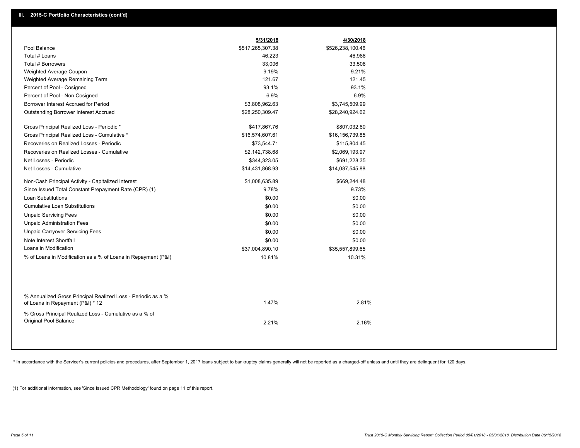|                                                                                                  | 5/31/2018        | 4/30/2018        |  |
|--------------------------------------------------------------------------------------------------|------------------|------------------|--|
| Pool Balance                                                                                     | \$517,265,307.38 | \$526,238,100.46 |  |
| Total # Loans                                                                                    | 46,223           | 46,988           |  |
| Total # Borrowers                                                                                | 33,006           | 33,508           |  |
| Weighted Average Coupon                                                                          | 9.19%            | 9.21%            |  |
| Weighted Average Remaining Term                                                                  | 121.67           | 121.45           |  |
| Percent of Pool - Cosigned                                                                       | 93.1%            | 93.1%            |  |
| Percent of Pool - Non Cosigned                                                                   | 6.9%             | 6.9%             |  |
| Borrower Interest Accrued for Period                                                             | \$3,808,962.63   | \$3,745,509.99   |  |
| <b>Outstanding Borrower Interest Accrued</b>                                                     | \$28,250,309.47  | \$28,240,924.62  |  |
| Gross Principal Realized Loss - Periodic *                                                       | \$417,867.76     | \$807,032.80     |  |
| Gross Principal Realized Loss - Cumulative *                                                     | \$16,574,607.61  | \$16,156,739.85  |  |
| Recoveries on Realized Losses - Periodic                                                         | \$73,544.71      | \$115,804.45     |  |
| Recoveries on Realized Losses - Cumulative                                                       | \$2,142,738.68   | \$2,069,193.97   |  |
| Net Losses - Periodic                                                                            | \$344,323.05     | \$691,228.35     |  |
| Net Losses - Cumulative                                                                          | \$14,431,868.93  | \$14,087,545.88  |  |
| Non-Cash Principal Activity - Capitalized Interest                                               | \$1,008,635.89   | \$669,244.48     |  |
| Since Issued Total Constant Prepayment Rate (CPR) (1)                                            | 9.78%            | 9.73%            |  |
| <b>Loan Substitutions</b>                                                                        | \$0.00           | \$0.00           |  |
| <b>Cumulative Loan Substitutions</b>                                                             | \$0.00           | \$0.00           |  |
| <b>Unpaid Servicing Fees</b>                                                                     | \$0.00           | \$0.00           |  |
| <b>Unpaid Administration Fees</b>                                                                | \$0.00           | \$0.00           |  |
| <b>Unpaid Carryover Servicing Fees</b>                                                           | \$0.00           | \$0.00           |  |
| Note Interest Shortfall                                                                          | \$0.00           | \$0.00           |  |
| Loans in Modification                                                                            | \$37,004,890.10  | \$35,557,899.65  |  |
| % of Loans in Modification as a % of Loans in Repayment (P&I)                                    | 10.81%           | 10.31%           |  |
|                                                                                                  |                  |                  |  |
| % Annualized Gross Principal Realized Loss - Periodic as a %<br>of Loans in Repayment (P&I) * 12 | 1.47%            | 2.81%            |  |
| % Gross Principal Realized Loss - Cumulative as a % of<br>Original Pool Balance                  | 2.21%            | 2.16%            |  |

\* In accordance with the Servicer's current policies and procedures, after September 1, 2017 loans subject to bankruptcy claims generally will not be reported as a charged-off unless and until they are delinquent for 120 d

(1) For additional information, see 'Since Issued CPR Methodology' found on page 11 of this report.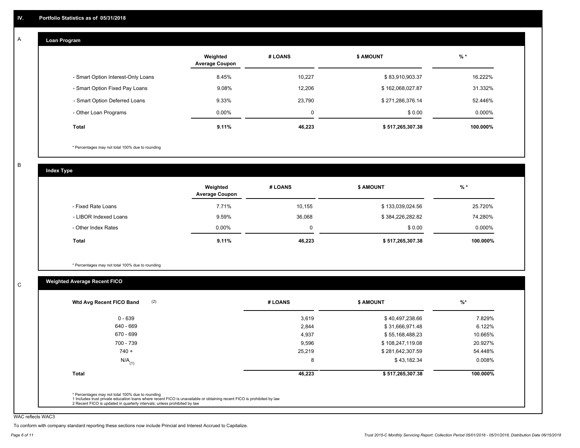#### **Loan Program**  A

|                                    | Weighted<br><b>Average Coupon</b> | # LOANS | <b>\$ AMOUNT</b> | $%$ *     |
|------------------------------------|-----------------------------------|---------|------------------|-----------|
| - Smart Option Interest-Only Loans | 8.45%                             | 10.227  | \$83,910,903.37  | 16.222%   |
| - Smart Option Fixed Pay Loans     | 9.08%                             | 12,206  | \$162,068,027.87 | 31.332%   |
| - Smart Option Deferred Loans      | 9.33%                             | 23.790  | \$271,286,376.14 | 52.446%   |
| - Other Loan Programs              | $0.00\%$                          | 0       | \$0.00           | $0.000\%$ |
| <b>Total</b>                       | $9.11\%$                          | 46,223  | \$517,265,307.38 | 100.000%  |

\* Percentages may not total 100% due to rounding

B

C

**Index Type**

|                       | Weighted<br><b>Average Coupon</b> | # LOANS | <b>\$ AMOUNT</b> | $%$ *    |
|-----------------------|-----------------------------------|---------|------------------|----------|
| - Fixed Rate Loans    | 7.71%                             | 10,155  | \$133,039,024.56 | 25.720%  |
| - LIBOR Indexed Loans | 9.59%                             | 36,068  | \$384,226,282.82 | 74.280%  |
| - Other Index Rates   | $0.00\%$                          | 0       | \$0.00           | 0.000%   |
| Total                 | 9.11%                             | 46,223  | \$517,265,307.38 | 100.000% |

\* Percentages may not total 100% due to rounding

### **Weighted Average Recent FICO**

| (2)<br>Wtd Avg Recent FICO Band | # LOANS | <b>\$ AMOUNT</b> | $%$ *    |
|---------------------------------|---------|------------------|----------|
| $0 - 639$                       | 3,619   | \$40,497,238.66  | 7.829%   |
| 640 - 669                       | 2,844   | \$31,666,971.48  | 6.122%   |
| 670 - 699                       | 4,937   | \$55,168,488.23  | 10.665%  |
| 700 - 739                       | 9,596   | \$108,247,119.08 | 20.927%  |
| $740 +$                         | 25,219  | \$281,642,307.59 | 54.448%  |
| $N/A$ <sub>(1)</sub>            | 8       | \$43,182.34      | 0.008%   |
| <b>Total</b>                    | 46,223  | \$517,265,307.38 | 100.000% |

WAC reflects WAC3

To conform with company standard reporting these sections now include Princial and Interest Accrued to Capitalize.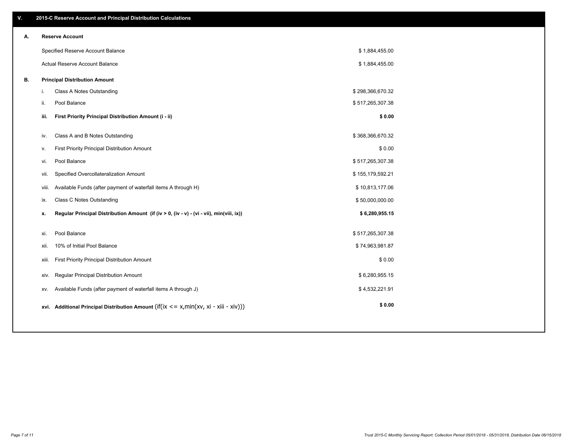| V. |       | 2015-C Reserve Account and Principal Distribution Calculations                                           |                  |  |
|----|-------|----------------------------------------------------------------------------------------------------------|------------------|--|
| А. |       | <b>Reserve Account</b>                                                                                   |                  |  |
|    |       | Specified Reserve Account Balance                                                                        | \$1,884,455.00   |  |
|    |       | Actual Reserve Account Balance                                                                           | \$1,884,455.00   |  |
| В. |       | <b>Principal Distribution Amount</b>                                                                     |                  |  |
|    | i.    | Class A Notes Outstanding                                                                                | \$298,366,670.32 |  |
|    | ii.   | Pool Balance                                                                                             | \$517,265,307.38 |  |
|    | iii.  | First Priority Principal Distribution Amount (i - ii)                                                    | \$0.00           |  |
|    | iv.   | Class A and B Notes Outstanding                                                                          | \$368,366,670.32 |  |
|    | v.    | First Priority Principal Distribution Amount                                                             | \$0.00           |  |
|    | vi.   | Pool Balance                                                                                             | \$517,265,307.38 |  |
|    | vii.  | Specified Overcollateralization Amount                                                                   | \$155,179,592.21 |  |
|    | viii. | Available Funds (after payment of waterfall items A through H)                                           | \$10,813,177.06  |  |
|    | ix.   | Class C Notes Outstanding                                                                                | \$50,000,000.00  |  |
|    | x.    | Regular Principal Distribution Amount (if (iv > 0, (iv - v) - (vi - vii), min(viii, ix))                 | \$6,280,955.15   |  |
|    |       | Pool Balance                                                                                             | \$517,265,307.38 |  |
|    | xi.   | 10% of Initial Pool Balance                                                                              | \$74,963,981.87  |  |
|    | xii.  |                                                                                                          |                  |  |
|    | xiii. | First Priority Principal Distribution Amount                                                             | \$0.00           |  |
|    | XIV.  | Regular Principal Distribution Amount                                                                    | \$6,280,955.15   |  |
|    | XV.   | Available Funds (after payment of waterfall items A through J)                                           | \$4,532,221.91   |  |
|    |       | xvi. Additional Principal Distribution Amount (if( $ix \le x$ , min( $xv$ , $xi \cdot x$ iii - $xiv$ ))) | \$0.00           |  |
|    |       |                                                                                                          |                  |  |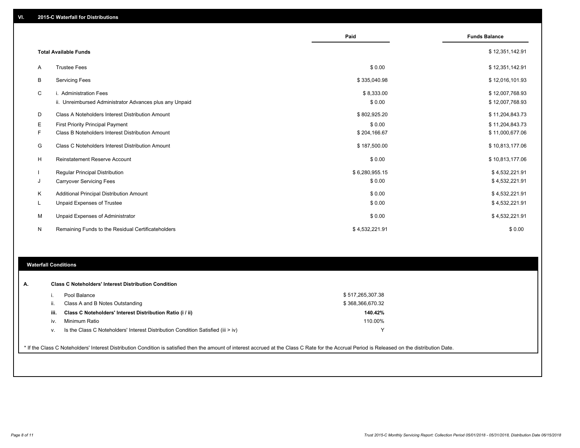|                |                                                         | Paid           | <b>Funds Balance</b> |
|----------------|---------------------------------------------------------|----------------|----------------------|
|                |                                                         |                |                      |
|                | <b>Total Available Funds</b>                            |                | \$12,351,142.91      |
| $\overline{A}$ | <b>Trustee Fees</b>                                     | \$0.00         | \$12,351,142.91      |
| B              | <b>Servicing Fees</b>                                   | \$335,040.98   | \$12,016,101.93      |
| C              | i. Administration Fees                                  | \$8,333.00     | \$12,007,768.93      |
|                | ii. Unreimbursed Administrator Advances plus any Unpaid | \$0.00         | \$12,007,768.93      |
| D              | Class A Noteholders Interest Distribution Amount        | \$802,925.20   | \$11,204,843.73      |
| Е              | <b>First Priority Principal Payment</b>                 | \$0.00         | \$11,204,843.73      |
| F              | Class B Noteholders Interest Distribution Amount        | \$204,166.67   | \$11,000,677.06      |
| G              | Class C Noteholders Interest Distribution Amount        | \$187,500.00   | \$10,813,177.06      |
| H              | <b>Reinstatement Reserve Account</b>                    | \$0.00         | \$10,813,177.06      |
|                | <b>Regular Principal Distribution</b>                   | \$6,280,955.15 | \$4,532,221.91       |
| J              | <b>Carryover Servicing Fees</b>                         | \$0.00         | \$4,532,221.91       |
| K              | Additional Principal Distribution Amount                | \$0.00         | \$4,532,221.91       |
| L              | <b>Unpaid Expenses of Trustee</b>                       | \$0.00         | \$4,532,221.91       |
| М              | Unpaid Expenses of Administrator                        | \$0.00         | \$4,532,221.91       |
| N              | Remaining Funds to the Residual Certificateholders      | \$4,532,221.91 | \$0.00               |
|                |                                                         |                |                      |

#### **Waterfall Conditions**

|      | Pool Balance                                                                     | \$517,265,307.38 |
|------|----------------------------------------------------------------------------------|------------------|
| н.   | Class A and B Notes Outstanding                                                  | \$368,366,670.32 |
| iii. | Class C Noteholders' Interest Distribution Ratio (i / ii)                        | 140.42%          |
| IV.  | Minimum Ratio                                                                    | 110.00%          |
| ν.   | Is the Class C Noteholders' Interest Distribution Condition Satisfied (iii > iv) |                  |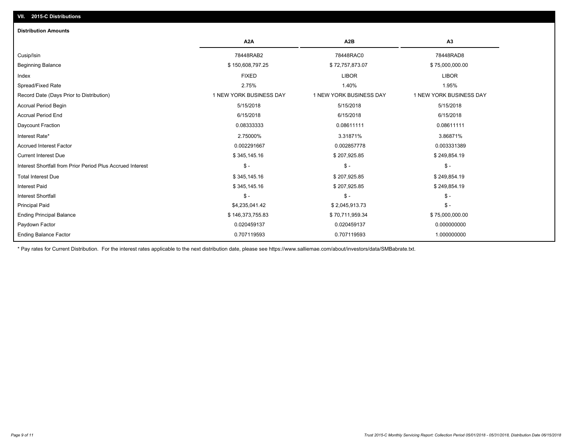## Principal Paid \$4,235,041.42 \$ 2,045,913.73 \$ - Interest Shortfall \$ - \$ - \$ - Interest Paid \$ 345,145.16 \$ 207,925.85 \$ 249,854.19 Total Interest Due \$249,854.19 \$ 207,925.85 \$ 207,925.85 \$ 249,854.19 Interest Shortfall from Prior Period Plus Accrued Interest \$ - \$ - \$ - Current Interest Due \$ 345,145.16 \$ 207,925.85 \$ 249,854.19 Accrued Interest Factor 0.002291667 0.002857778 0.003331389 Interest Rate\* 2.75000% 3.31871% 3.86871% Daycount Fraction 0.08333333 0.08611111 0.08611111 Accrual Period End 6/15/2018 6/15/2018 6/15/2018 Accrual Period Begin 5/15/2018 5/15/2018 5/15/2018 Record Date (Days Prior to Distribution) 1 1 NEW YORK BUSINESS DAY 1 NEW YORK BUSINESS DAY 1 NEW YORK BUSINESS DAY Spread/Fixed Rate 2.75% 1.40% 1.95% Index FIXED LIBOR LIBOR Beginning Balance \$ 75,000,000.00 \$ 150,608,797.25 \$ 72,757,873.07 \$ \$ 72,757,873.07 Cusip/Isin 78448RAB2 78448RAC0 78448RAD8 **A2A A2B A3 Distribution Amounts VII. 2015-C Distributions**

Paydown Factor 0.020459137 0.020459137 0.000000000 Ending Principal Balance \$ 75,000,000.00 \$ \$ 76,000,000.00 \$ 70,711,959.34 \$ 75,000,000.00

0.707119593 0.707119593 1.000000000

\* Pay rates for Current Distribution. For the interest rates applicable to the next distribution date, please see https://www.salliemae.com/about/investors/data/SMBabrate.txt.

Ending Balance Factor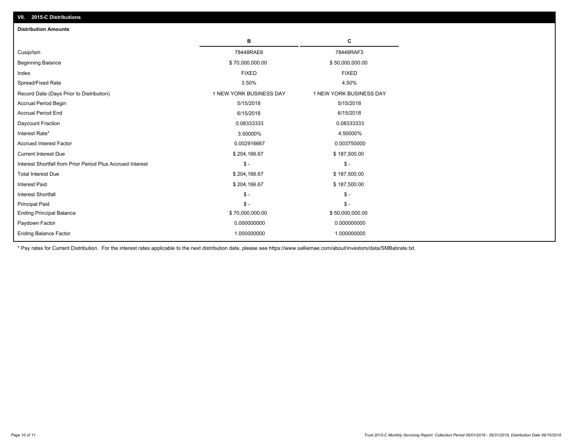| <b>Distribution Amounts</b>                                |                         |                         |
|------------------------------------------------------------|-------------------------|-------------------------|
|                                                            | в                       | C                       |
| Cusip/Isin                                                 | 78448RAE6               | 78448RAF3               |
| <b>Beginning Balance</b>                                   | \$70,000,000.00         | \$50,000,000.00         |
| Index                                                      | <b>FIXED</b>            | <b>FIXED</b>            |
| Spread/Fixed Rate                                          | 3.50%                   | 4.50%                   |
| Record Date (Days Prior to Distribution)                   | 1 NEW YORK BUSINESS DAY | 1 NEW YORK BUSINESS DAY |
| <b>Accrual Period Begin</b>                                | 5/15/2018               | 5/15/2018               |
| <b>Accrual Period End</b>                                  | 6/15/2018               | 6/15/2018               |
| Daycount Fraction                                          | 0.08333333              | 0.08333333              |
| Interest Rate*                                             | 3.50000%                | 4.50000%                |
| <b>Accrued Interest Factor</b>                             | 0.002916667             | 0.003750000             |
| <b>Current Interest Due</b>                                | \$204,166.67            | \$187,500.00            |
| Interest Shortfall from Prior Period Plus Accrued Interest | $\mathcal{S}$ -         | $\mathsf{\$}$ -         |
| <b>Total Interest Due</b>                                  | \$204,166.67            | \$187,500.00            |
| <b>Interest Paid</b>                                       | \$204,166.67            | \$187,500.00            |
| <b>Interest Shortfall</b>                                  | $\mathsf{\$}$ -         | $\mathbb{S}$ –          |
| <b>Principal Paid</b>                                      | $\mathsf{\$}$ -         | $\mathsf{\$}$ -         |
| <b>Ending Principal Balance</b>                            | \$70,000,000.00         | \$50,000,000.00         |
| Paydown Factor                                             | 0.000000000             | 0.000000000             |
| <b>Ending Balance Factor</b>                               | 1.000000000             | 1.000000000             |

\* Pay rates for Current Distribution. For the interest rates applicable to the next distribution date, please see https://www.salliemae.com/about/investors/data/SMBabrate.txt.

**VII. 2015-C Distributions**